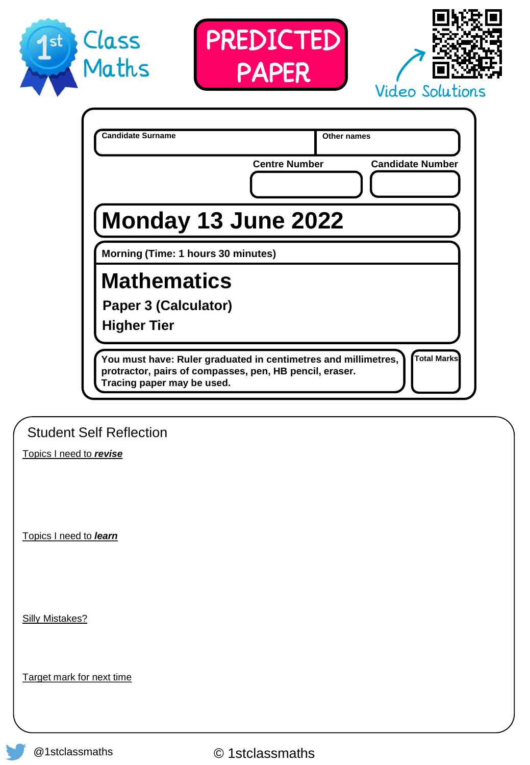





|                                                                                                                                                         | <b>Centre Number</b> | <b>Candidate Number</b> |
|---------------------------------------------------------------------------------------------------------------------------------------------------------|----------------------|-------------------------|
| Monday 13 June 2022                                                                                                                                     |                      |                         |
| Morning (Time: 1 hours 30 minutes)                                                                                                                      |                      |                         |
| <b>Mathematics</b>                                                                                                                                      |                      |                         |
| Paper 3 (Calculator)                                                                                                                                    |                      |                         |
| <b>Higher Tier</b>                                                                                                                                      |                      |                         |
| You must have: Ruler graduated in centimetres and millimetres,<br>protractor, pairs of compasses, pen, HB pencil, eraser.<br>Tracing paper may be used. |                      | <b>Total Marks</b>      |

Student Self Reflection

Topics I need to *revise*

Topics I need to *learn*

Silly Mistakes?

Target mark for next time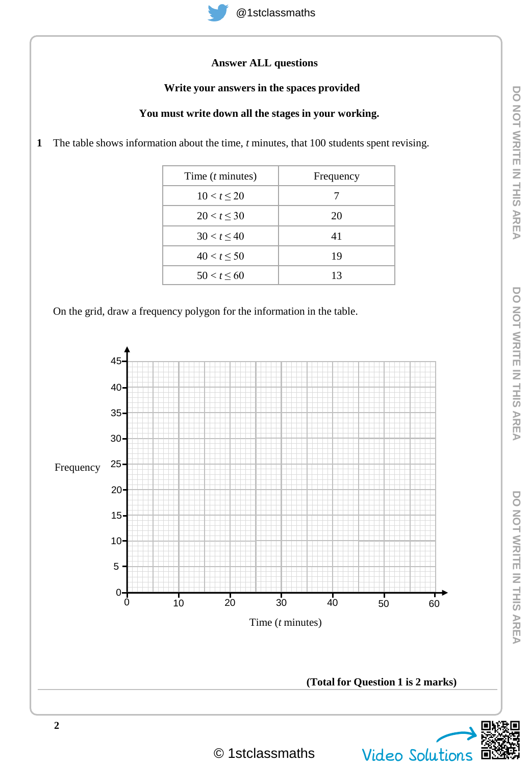## **Answer ALL questions**

#### **Write your answers in the spaces provided**

#### **You must write down all the stages in your working.**

**1** The table shows information about the time, *t* minutes, that 100 students spent revising.

| Time $(t \text{ minutes})$ | Frequency |
|----------------------------|-----------|
| $10 < t \leq 20$           |           |
| 20 < t < 30                | 20        |
| $30 < t \leq 40$           | 41        |
| $40 < t \leq 50$           | 19        |
| $50 < t \leq 60$           | 13        |

On the grid, draw a frequency polygon for the information in the table.

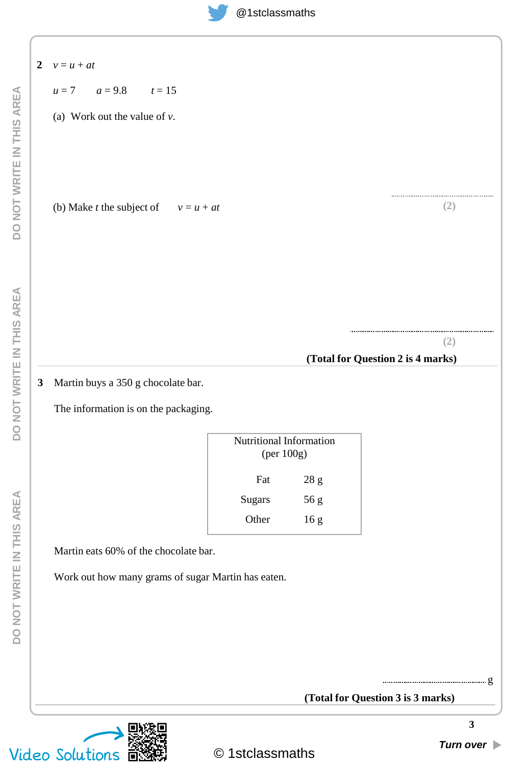| $\overline{2}$ | $v = u + at$                                       |                         |                 |                                   |
|----------------|----------------------------------------------------|-------------------------|-----------------|-----------------------------------|
|                | $u = 7$ $a = 9.8$ $t = 15$                         |                         |                 |                                   |
|                | (a) Work out the value of $v$ .                    |                         |                 |                                   |
|                |                                                    |                         |                 |                                   |
|                |                                                    |                         |                 |                                   |
|                |                                                    |                         |                 |                                   |
|                | (b) Make <i>t</i> the subject of $v = u + at$      |                         |                 | (2)                               |
|                |                                                    |                         |                 |                                   |
|                |                                                    |                         |                 |                                   |
|                |                                                    |                         |                 |                                   |
|                |                                                    |                         |                 |                                   |
|                |                                                    |                         |                 |                                   |
|                |                                                    |                         |                 | (2)                               |
|                |                                                    |                         |                 | (Total for Question 2 is 4 marks) |
| $\mathbf{3}$   | Martin buys a 350 g chocolate bar.                 |                         |                 |                                   |
|                | The information is on the packaging.               |                         |                 |                                   |
|                |                                                    | Nutritional Information |                 |                                   |
|                |                                                    | (per 100g)              |                 |                                   |
|                |                                                    | Fat                     | $28\ \mathrm g$ |                                   |
|                |                                                    | Sugars                  | 56 g            |                                   |
|                |                                                    | Other                   | 16g             |                                   |
|                | Martin eats 60% of the chocolate bar.              |                         |                 |                                   |
|                | Work out how many grams of sugar Martin has eaten. |                         |                 |                                   |
|                |                                                    |                         |                 |                                   |
|                |                                                    |                         |                 |                                   |
|                |                                                    |                         |                 |                                   |
|                |                                                    |                         |                 |                                   |
|                |                                                    |                         |                 |                                   |
|                |                                                    |                         |                 | (Total for Question 3 is 3 marks) |

**3**

⊡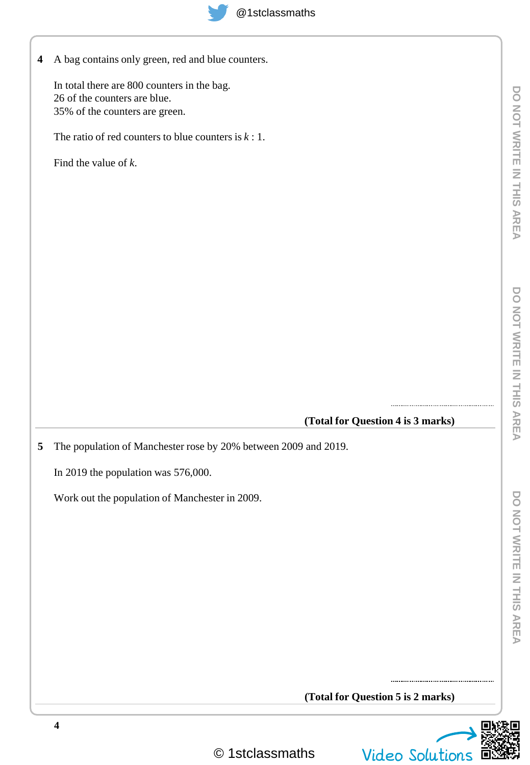

**4** A bag contains only green, red and blue counters.

In total there are 800 counters in the bag. 26 of the counters are blue. 35% of the counters are green.

The ratio of red counters to blue counters is *k* : 1.

Find the value of *k*.

**(Total for Question 4 is 3 marks)**

**5** The population of Manchester rose by 20% between 2009 and 2019.

In 2019 the population was 576,000.

Work out the population of Manchester in 2009.

**(Total for Question 5 is 2 marks)**



© 1stclassmaths Video Solutions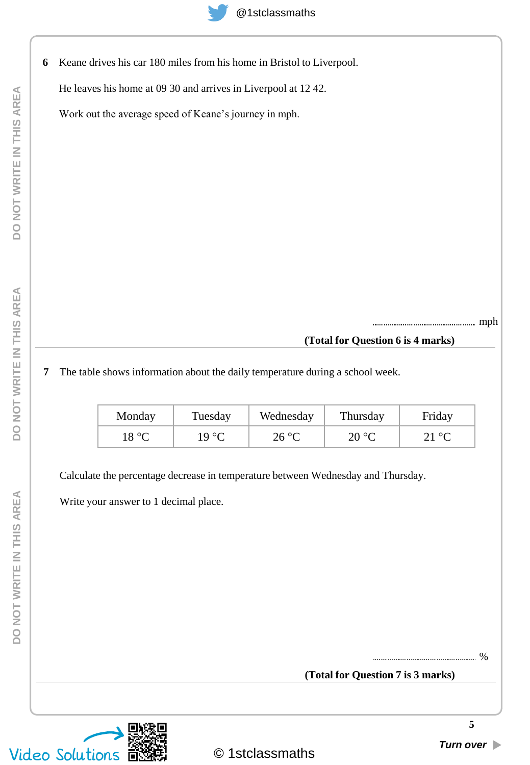**6** Keane drives his car 180 miles from his home in Bristol to Liverpool.

He leaves his home at 09 30 and arrives in Liverpool at 12 42.

Work out the average speed of Keane's journey in mph.

mph

#### **(Total for Question 6 is 4 marks)**

### **7** The table shows information about the daily temperature during a school week.

| Monday | Tuesday | Wednesday | Thursday | Friday         |
|--------|---------|-----------|----------|----------------|
| 18 °C  | 19 °C   | 26 °C     | 20 °C    | $21\text{ °C}$ |

Calculate the percentage decrease in temperature between Wednesday and Thursday.

Write your answer to 1 decimal place.

**(Total for Question 7 is 3 marks)** %

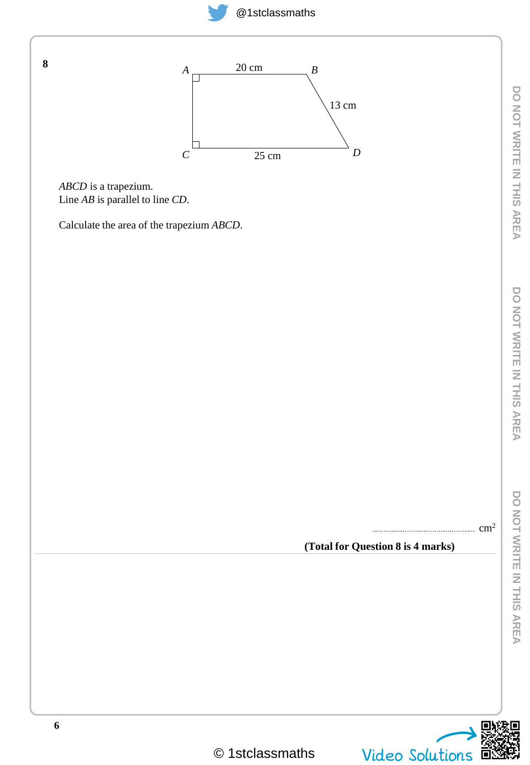



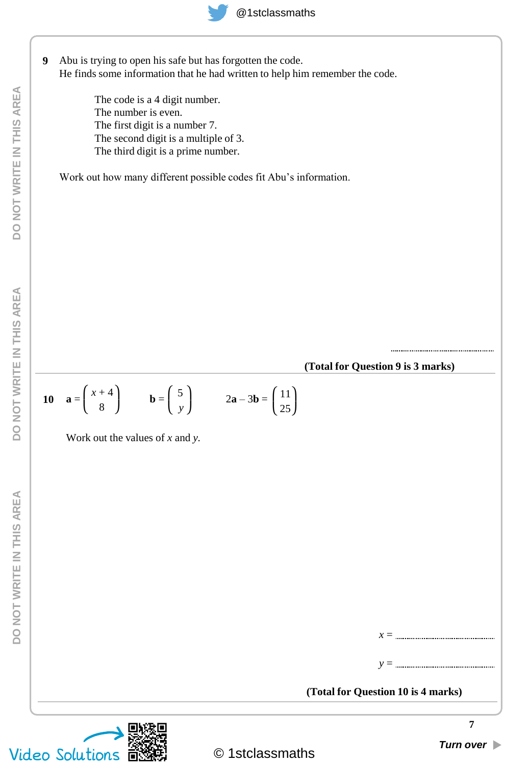

Abu is trying to open his safe but has forgotten the code. He finds some information that he had written to help him remember the code. **9**

> The code is a 4 digit number. The number is even. The first digit is a number 7. The second digit is a multiple of 3. The third digit is a prime number.

Work out how many different possible codes fit Abu's information.

**(Total for Question 9 is 3 marks)**

**(Total for Question 10 is 4 marks)**

$$
10 \quad \mathbf{a} = \begin{pmatrix} x+4 \\ 8 \end{pmatrix} \qquad \mathbf{b} = \begin{pmatrix} 5 \\ y \end{pmatrix} \qquad 2\mathbf{a} - 3\mathbf{b} = \begin{pmatrix} 11 \\ 25 \end{pmatrix}
$$

Work out the values of *x* and *y.*

*x* =

*y* =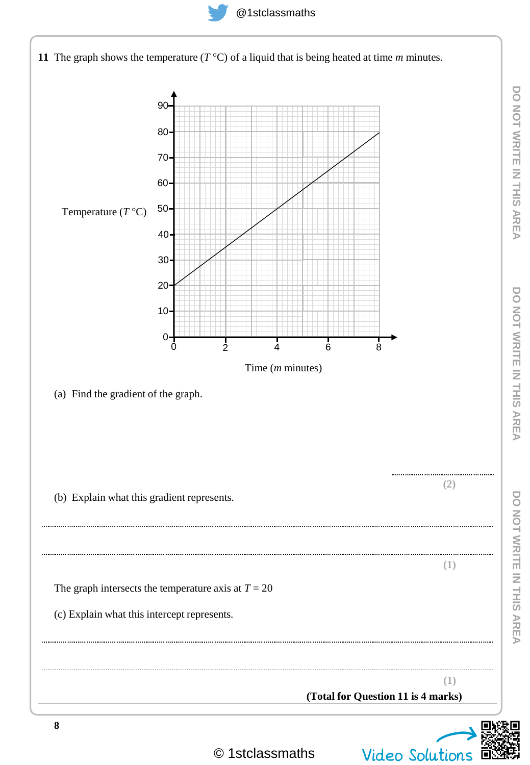



© 1stclassmaths Video Solutions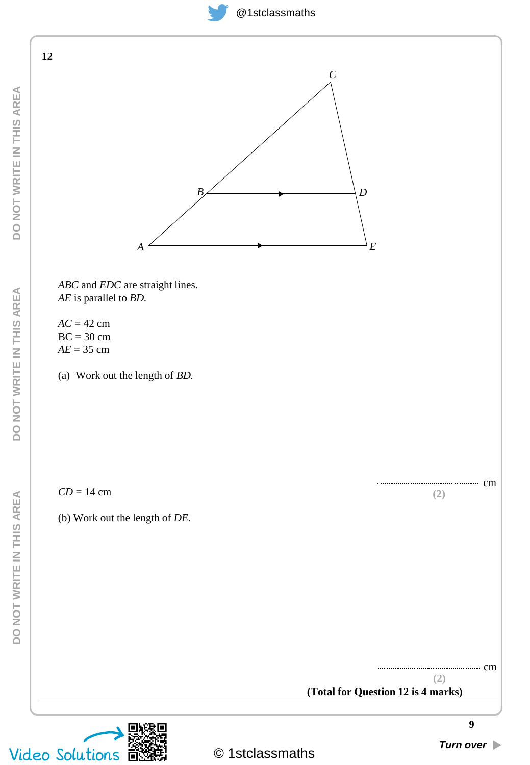



*ABC* and *EDC* are straight lines. *AE* is parallel to *BD.*

*AC* = 42 cm  $BC = 30$  cm *AE* = 35 cm

(a) Work out the length of *BD.*

*CD* = 14 cm

(b) Work out the length of *DE.*



**(2)**

cm

**(2)** cm

**(Total for Question 12 is 4 marks)**

**DO NOT WRITE IN THIS AREA**

DO NOT WRITE IN THIS AREA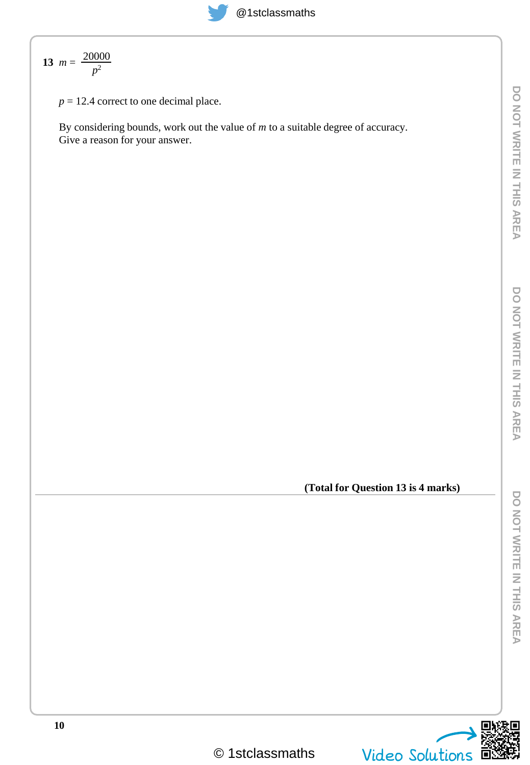13 
$$
m = \frac{20000}{p^2}
$$

 $p = 12.4$  correct to one decimal place.

By considering bounds, work out the value of *m* to a suitable degree of accuracy. Give a reason for your answer.

**(Total for Question 13 is 4 marks)**

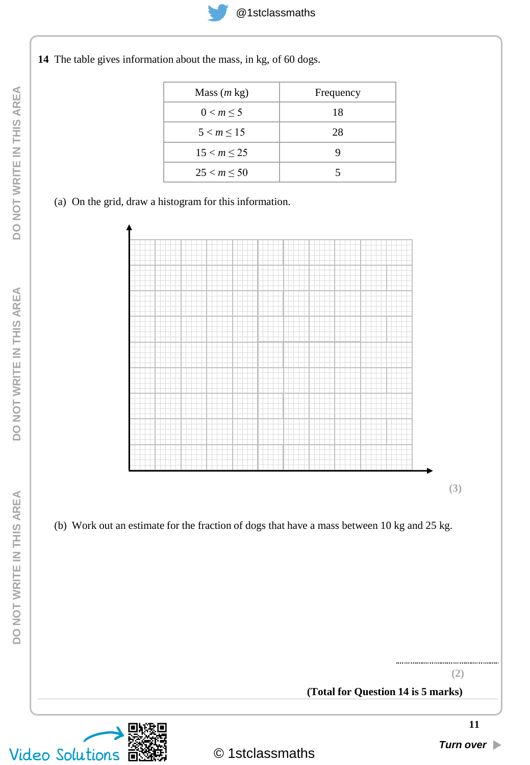

**14** The table gives information about the mass, in kg, of 60 dogs.

| Mass $(m \text{ kg})$ | Frequency |
|-----------------------|-----------|
| 0 < m < 5             | 18        |
| $5 < m \leq 15$       | 28        |
| $15 < m \le 25$       | ӌ         |
| 25 < m < 50           | 5         |

#### (a) On the grid, draw a histogram for this information.



(b) Work out an estimate for the fraction of dogs that have a mass between 10 kg and 25 kg.



**(2)**

**(Total for Question 14 is 5 marks)**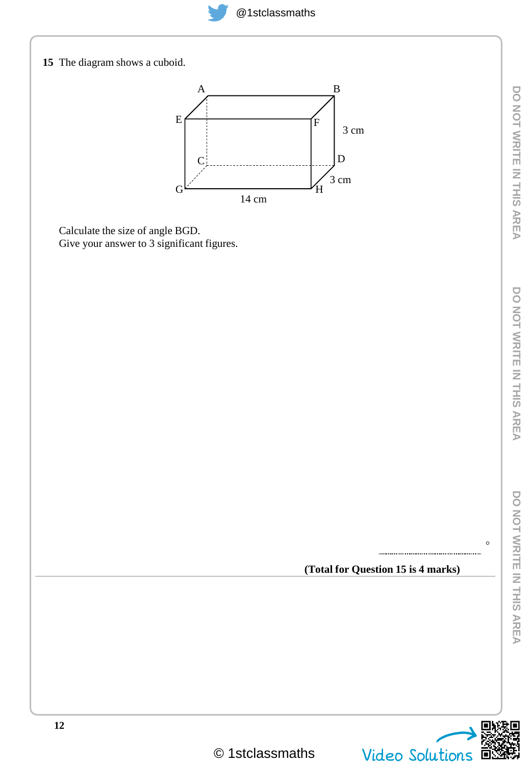

 $\circ$ 

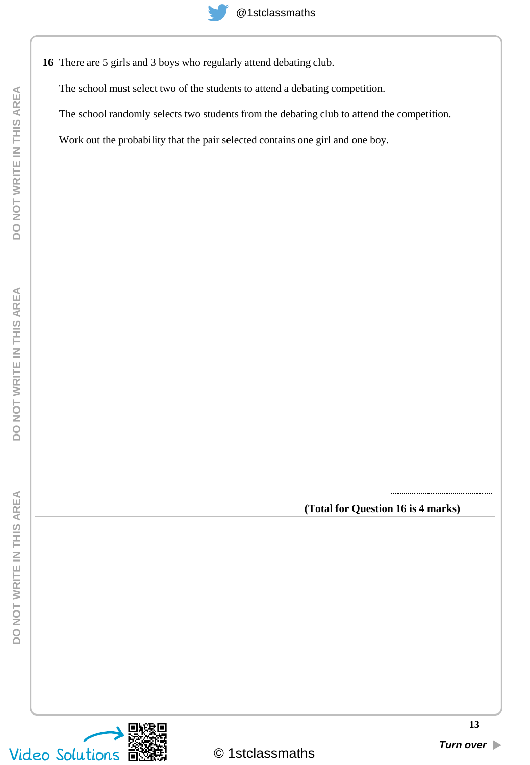**16** There are 5 girls and 3 boys who regularly attend debating club.

The school must select two of the students to attend a debating competition.

The school randomly selects two students from the debating club to attend the competition.

Work out the probability that the pair selected contains one girl and one boy.

**(Total for Question 16 is 4 marks)**

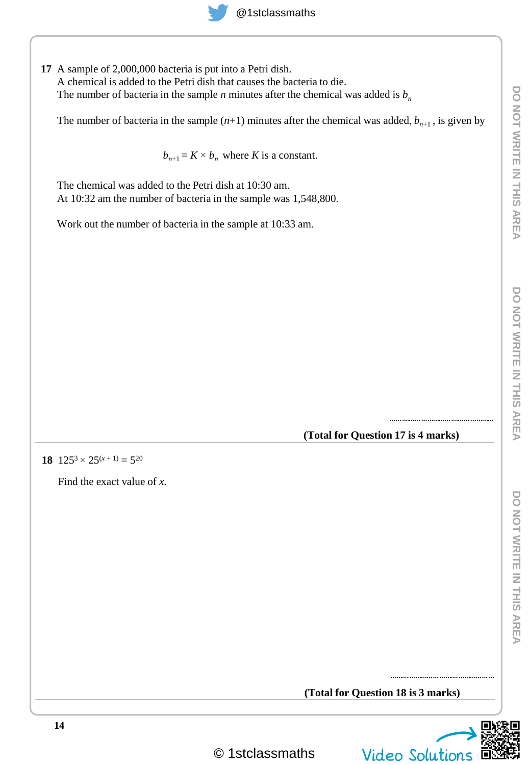# @1stclassmaths

**17** A sample of 2,000,000 bacteria is put into a Petri dish. A chemical is added to the Petri dish that causes the bacteria to die. The number of bacteria in the sample *n* minutes after the chemical was added is  $b<sub>n</sub>$ 

The number of bacteria in the sample  $(n+1)$  minutes after the chemical was added,  $b_{n+1}$ , is given by

 $b_{n+1} = K \times b_n$  where *K* is a constant.

The chemical was added to the Petri dish at 10:30 am. At 10:32 am the number of bacteria in the sample was 1,548,800.

Work out the number of bacteria in the sample at 10:33 am.

**(Total for Question 17 is 4 marks)**

**18**  $125^3 \times 25^{(x+1)} = 5^{20}$ 

Find the exact value of *x.*

**(Total for Question 18 is 3 marks)**

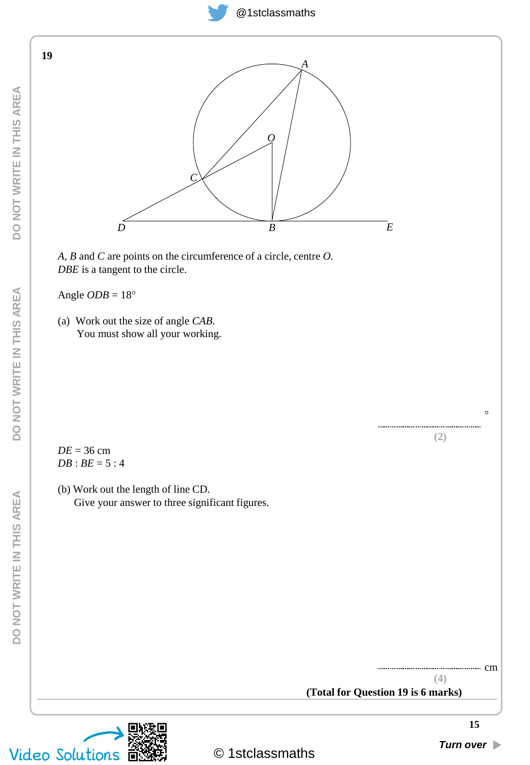



*A, B* and *C* are points on the circumference of a circle, centre *O. DBE* is a tangent to the circle.

Angle  $ODB = 18^{\circ}$ 

(a) Work out the size of angle *CAB*. You must show all your working.

*DE* = 36 cm  $DB$  :  $BE = 5:4$ 

(b) Work out the length of line CD. Give your answer to three significant figures.

**DO NOT WRITE IN THIS AREA**

DO NOT WRITE IN THIS AREA

**19**

**DO NOT WRITE IN THIS AREA**

DO NOT WRITE IN THIS AREA



**(4)**

cm

**(Total for Question 19 is 6 marks)**

 $\circ$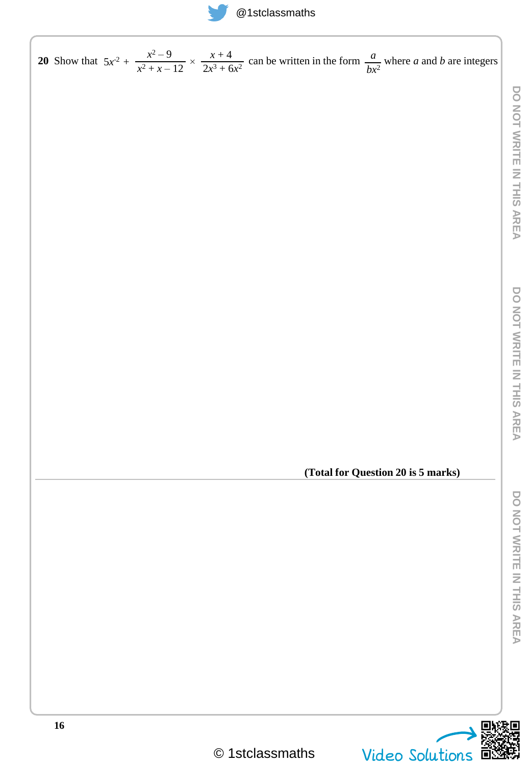# @1stclassmaths

**DO NOT WRITE IN THIS AREA**

DO NOT WRITE IN THIS AREA

**DO NOT WRITE IN THIS AREA**

DO NOT WRITE IN THIS AREA

**DO NOT WRITE IN THIS AREA**

DO NOT WRITE IN THIS AREA

**16** 20 Show that  $5x^2 + \frac{x^2-9}{2} \times \frac{x+4}{2}$  can be written in the form  $\frac{a}{2}$  where *a* and *b* are integers **(Total for Question 20 is 5 marks)**  $\frac{x^2-9}{x^2+x-12} \times \frac{x+4}{2x^3+6}$  $5x^2 + \frac{x^2 - 9}{x^2 + x - 12} \times \frac{x + 4}{2x^3 + 6x^2}$  can be written in the form  $\frac{a}{bx}$  $bx^2$